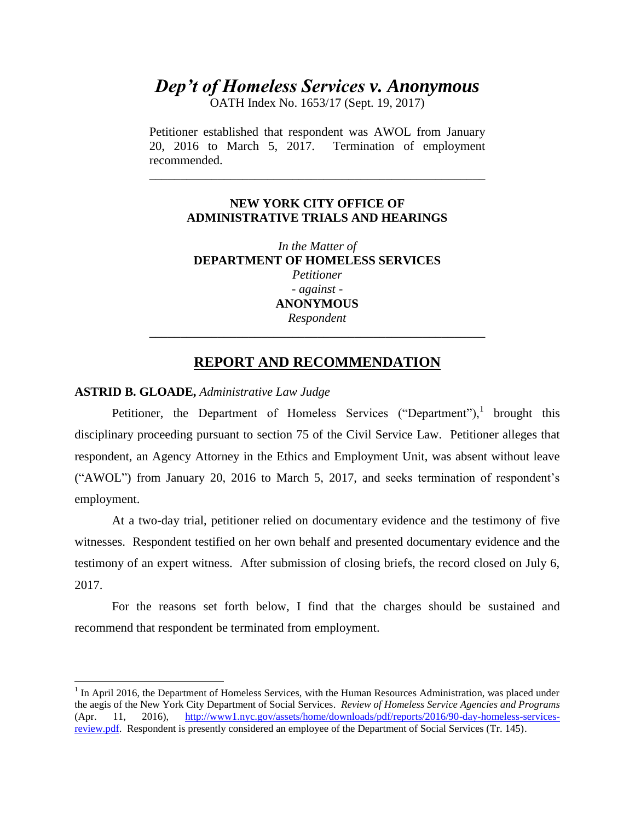# *Dep't of Homeless Services v. Anonymous*

OATH Index No. 1653/17 (Sept. 19, 2017)

Petitioner established that respondent was AWOL from January 20, 2016 to March 5, 2017. Termination of employment recommended.

\_\_\_\_\_\_\_\_\_\_\_\_\_\_\_\_\_\_\_\_\_\_\_\_\_\_\_\_\_\_\_\_\_\_\_\_\_\_\_\_\_\_\_\_\_\_\_\_\_\_\_\_\_\_

## **NEW YORK CITY OFFICE OF ADMINISTRATIVE TRIALS AND HEARINGS**

*In the Matter of*  **DEPARTMENT OF HOMELESS SERVICES** *Petitioner - against* - **ANONYMOUS** *Respondent \_\_\_\_\_\_\_\_\_\_\_\_\_\_\_\_\_\_\_\_\_\_\_\_\_\_\_\_\_\_\_\_\_\_\_\_\_\_\_\_\_\_\_\_\_\_\_\_\_\_\_\_\_\_*

## **REPORT AND RECOMMENDATION**

#### **ASTRID B. GLOADE,** *Administrative Law Judge*

 $\overline{\phantom{a}}$ 

Petitioner, the Department of Homeless Services ("Department"), brought this disciplinary proceeding pursuant to section 75 of the Civil Service Law. Petitioner alleges that respondent, an Agency Attorney in the Ethics and Employment Unit, was absent without leave ("AWOL") from January 20, 2016 to March 5, 2017, and seeks termination of respondent's employment.

At a two-day trial, petitioner relied on documentary evidence and the testimony of five witnesses. Respondent testified on her own behalf and presented documentary evidence and the testimony of an expert witness. After submission of closing briefs, the record closed on July 6, 2017.

For the reasons set forth below, I find that the charges should be sustained and recommend that respondent be terminated from employment.

<sup>&</sup>lt;sup>1</sup> In April 2016, the Department of Homeless Services, with the Human Resources Administration, was placed under the aegis of the New York City Department of Social Services. *Review of Homeless Service Agencies and Programs* (Apr. 11, 2016), [http://www1.nyc.gov/assets/home/downloads/pdf/reports/2016/90-day-homeless-services](http://www1.nyc.gov/assets/home/downloads/pdf/reports/2016/90-day-homeless-services-review.pdf)[review.pdf.](http://www1.nyc.gov/assets/home/downloads/pdf/reports/2016/90-day-homeless-services-review.pdf) Respondent is presently considered an employee of the Department of Social Services (Tr. 145).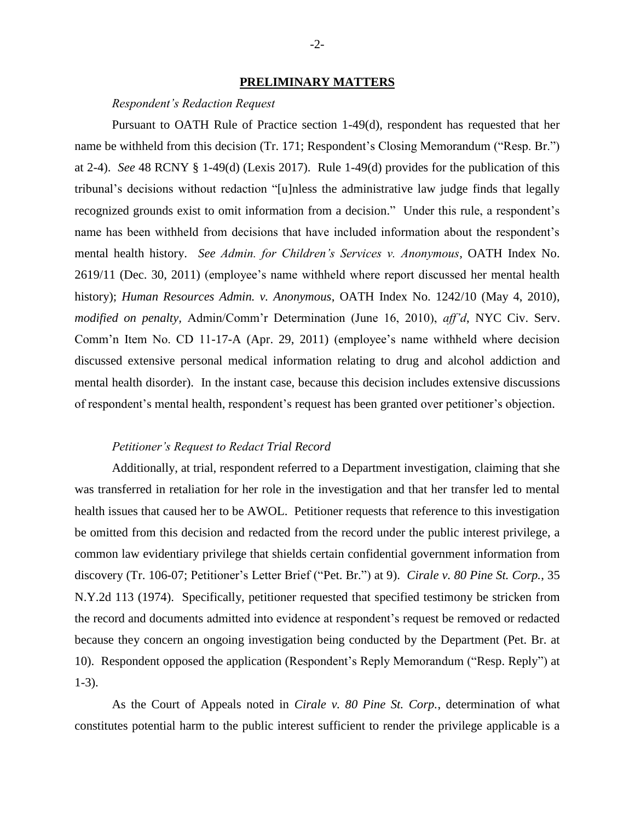#### **PRELIMINARY MATTERS**

#### *Respondent's Redaction Request*

Pursuant to OATH Rule of Practice section 1-49(d), respondent has requested that her name be withheld from this decision (Tr. 171; Respondent's Closing Memorandum ("Resp. Br.") at 2-4). *See* 48 RCNY § 1-49(d) (Lexis 2017). Rule 1-49(d) provides for the publication of this tribunal's decisions without redaction "[u]nless the administrative law judge finds that legally recognized grounds exist to omit information from a decision." Under this rule, a respondent's name has been withheld from decisions that have included information about the respondent's mental health history. *See Admin. for Children's Services v. Anonymous,* OATH Index No. 2619/11 (Dec. 30, 2011) (employee's name withheld where report discussed her mental health history); *Human Resources Admin. v. Anonymous*, OATH Index No. 1242/10 (May 4, 2010), *modified on penalty,* Admin/Comm'r Determination (June 16, 2010), *aff'd*, NYC Civ. Serv. Comm'n Item No. CD 11-17-A (Apr. 29, 2011) (employee's name withheld where decision discussed extensive personal medical information relating to drug and alcohol addiction and mental health disorder). In the instant case, because this decision includes extensive discussions of respondent's mental health, respondent's request has been granted over petitioner's objection.

### *Petitioner's Request to Redact Trial Record*

Additionally, at trial, respondent referred to a Department investigation, claiming that she was transferred in retaliation for her role in the investigation and that her transfer led to mental health issues that caused her to be AWOL. Petitioner requests that reference to this investigation be omitted from this decision and redacted from the record under the public interest privilege, a common law evidentiary privilege that shields certain confidential government information from discovery (Tr. 106-07; Petitioner's Letter Brief ("Pet. Br.") at 9). *Cirale v. 80 Pine St. Corp.*, 35 N.Y.2d 113 (1974). Specifically, petitioner requested that specified testimony be stricken from the record and documents admitted into evidence at respondent's request be removed or redacted because they concern an ongoing investigation being conducted by the Department (Pet. Br. at 10). Respondent opposed the application (Respondent's Reply Memorandum ("Resp. Reply") at 1-3).

As the Court of Appeals noted in *Cirale v. 80 Pine St. Corp.*, determination of what constitutes potential harm to the public interest sufficient to render the privilege applicable is a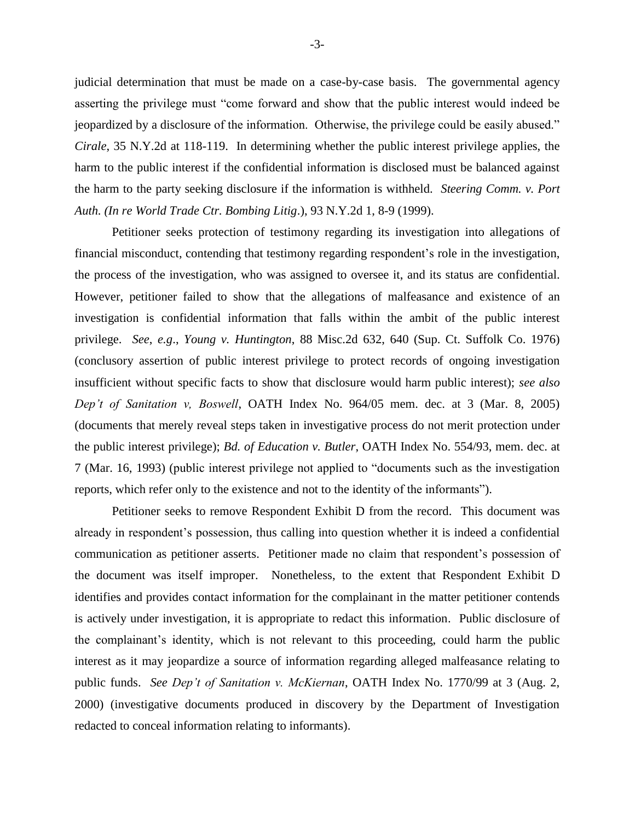judicial determination that must be made on a case-by-case basis. The governmental agency asserting the privilege must "come forward and show that the public interest would indeed be jeopardized by a disclosure of the information. Otherwise, the privilege could be easily abused." *Cirale*, [35 N.Y.2d at 118-119.](https://advance.lexis.com/api/document/collection/cases/id/3RRS-VG20-003C-C0GB-00000-00?page=118&reporter=3321&cite=35%20N.Y.2d%20113&context=1000516) In determining whether the public interest privilege applies, the harm to the public interest if the confidential information is disclosed must be balanced against the harm to the party seeking disclosure if the information is withheld. *Steering Comm. v. Port Auth. (In re World Trade Ctr. Bombing Litig*.), 93 N.Y.2d 1, 8-9 (1999).

Petitioner seeks protection of testimony regarding its investigation into allegations of financial misconduct, contending that testimony regarding respondent's role in the investigation, the process of the investigation, who was assigned to oversee it, and its status are confidential. However, petitioner failed to show that the allegations of malfeasance and existence of an investigation is confidential information that falls within the ambit of the public interest privilege. *See*, *e.g*., *Young v. Huntington*, 88 Misc.2d 632, 640 (Sup. Ct. Suffolk Co. 1976) (conclusory assertion of public interest privilege to protect records of ongoing investigation insufficient without specific facts to show that disclosure would harm public interest); *see also Dep't of Sanitation v, Boswell*, OATH Index No. 964/05 mem. dec. at 3 (Mar. 8, 2005) (documents that merely reveal steps taken in investigative process do not merit protection under the public interest privilege); *Bd. of Education v. Butler*, OATH Index No. 554/93, mem. dec. at 7 (Mar. 16, 1993) (public interest privilege not applied to "documents such as the investigation reports, which refer only to the existence and not to the identity of the informants").

Petitioner seeks to remove Respondent Exhibit D from the record. This document was already in respondent's possession, thus calling into question whether it is indeed a confidential communication as petitioner asserts. Petitioner made no claim that respondent's possession of the document was itself improper. Nonetheless, to the extent that Respondent Exhibit D identifies and provides contact information for the complainant in the matter petitioner contends is actively under investigation, it is appropriate to redact this information. Public disclosure of the complainant's identity, which is not relevant to this proceeding, could harm the public interest as it may jeopardize a source of information regarding alleged malfeasance relating to public funds. *See Dep't of Sanitation v. McKiernan*, OATH Index No. 1770/99 at 3 (Aug. 2, 2000) (investigative documents produced in discovery by the Department of Investigation redacted to conceal information relating to informants).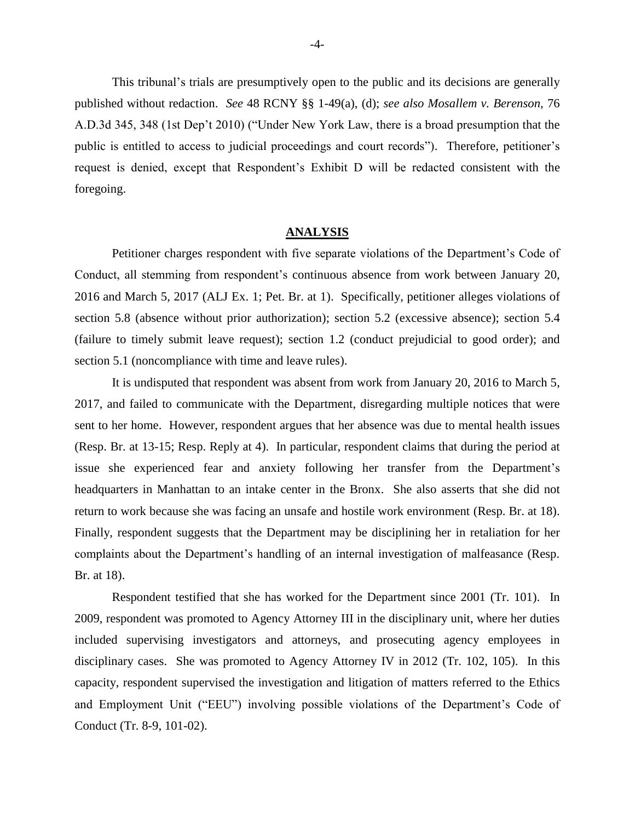This tribunal's trials are presumptively open to the public and its decisions are generally published without redaction. *See* 48 RCNY §§ 1-49(a), (d); *see also Mosallem v. Berenson,* 76 A.D.3d 345, 348 (1st Dep't 2010) ("Under New York Law, there is a broad presumption that the public is entitled to access to judicial proceedings and court records"). Therefore, petitioner's request is denied, except that Respondent's Exhibit D will be redacted consistent with the foregoing.

#### **ANALYSIS**

Petitioner charges respondent with five separate violations of the Department's Code of Conduct, all stemming from respondent's continuous absence from work between January 20, 2016 and March 5, 2017 (ALJ Ex. 1; Pet. Br. at 1). Specifically, petitioner alleges violations of section 5.8 (absence without prior authorization); section 5.2 (excessive absence); section 5.4 (failure to timely submit leave request); section 1.2 (conduct prejudicial to good order); and section 5.1 (noncompliance with time and leave rules).

It is undisputed that respondent was absent from work from January 20, 2016 to March 5, 2017, and failed to communicate with the Department, disregarding multiple notices that were sent to her home. However, respondent argues that her absence was due to mental health issues (Resp. Br. at 13-15; Resp. Reply at 4). In particular, respondent claims that during the period at issue she experienced fear and anxiety following her transfer from the Department's headquarters in Manhattan to an intake center in the Bronx. She also asserts that she did not return to work because she was facing an unsafe and hostile work environment (Resp. Br. at 18). Finally, respondent suggests that the Department may be disciplining her in retaliation for her complaints about the Department's handling of an internal investigation of malfeasance (Resp. Br. at 18).

Respondent testified that she has worked for the Department since 2001 (Tr. 101). In 2009, respondent was promoted to Agency Attorney III in the disciplinary unit, where her duties included supervising investigators and attorneys, and prosecuting agency employees in disciplinary cases. She was promoted to Agency Attorney IV in 2012 (Tr. 102, 105). In this capacity, respondent supervised the investigation and litigation of matters referred to the Ethics and Employment Unit ("EEU") involving possible violations of the Department's Code of Conduct (Tr. 8-9, 101-02).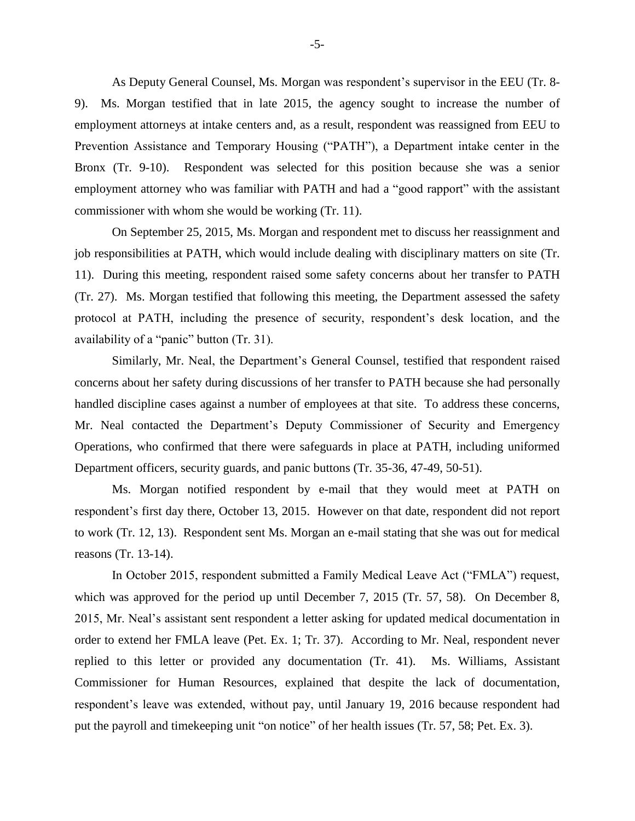As Deputy General Counsel, Ms. Morgan was respondent's supervisor in the EEU (Tr. 8- 9). Ms. Morgan testified that in late 2015, the agency sought to increase the number of employment attorneys at intake centers and, as a result, respondent was reassigned from EEU to Prevention Assistance and Temporary Housing ("PATH"), a Department intake center in the Bronx (Tr. 9-10). Respondent was selected for this position because she was a senior employment attorney who was familiar with PATH and had a "good rapport" with the assistant commissioner with whom she would be working (Tr. 11).

On September 25, 2015, Ms. Morgan and respondent met to discuss her reassignment and job responsibilities at PATH, which would include dealing with disciplinary matters on site (Tr. 11). During this meeting, respondent raised some safety concerns about her transfer to PATH (Tr. 27). Ms. Morgan testified that following this meeting, the Department assessed the safety protocol at PATH, including the presence of security, respondent's desk location, and the availability of a "panic" button (Tr. 31).

Similarly, Mr. Neal, the Department's General Counsel, testified that respondent raised concerns about her safety during discussions of her transfer to PATH because she had personally handled discipline cases against a number of employees at that site. To address these concerns, Mr. Neal contacted the Department's Deputy Commissioner of Security and Emergency Operations, who confirmed that there were safeguards in place at PATH, including uniformed Department officers, security guards, and panic buttons (Tr. 35-36, 47-49, 50-51).

Ms. Morgan notified respondent by e-mail that they would meet at PATH on respondent's first day there, October 13, 2015. However on that date, respondent did not report to work (Tr. 12, 13). Respondent sent Ms. Morgan an e-mail stating that she was out for medical reasons (Tr. 13-14).

In October 2015, respondent submitted a Family Medical Leave Act ("FMLA") request, which was approved for the period up until December 7, 2015 (Tr. 57, 58). On December 8, 2015, Mr. Neal's assistant sent respondent a letter asking for updated medical documentation in order to extend her FMLA leave (Pet. Ex. 1; Tr. 37). According to Mr. Neal, respondent never replied to this letter or provided any documentation (Tr. 41). Ms. Williams, Assistant Commissioner for Human Resources, explained that despite the lack of documentation, respondent's leave was extended, without pay, until January 19, 2016 because respondent had put the payroll and timekeeping unit "on notice" of her health issues (Tr. 57, 58; Pet. Ex. 3).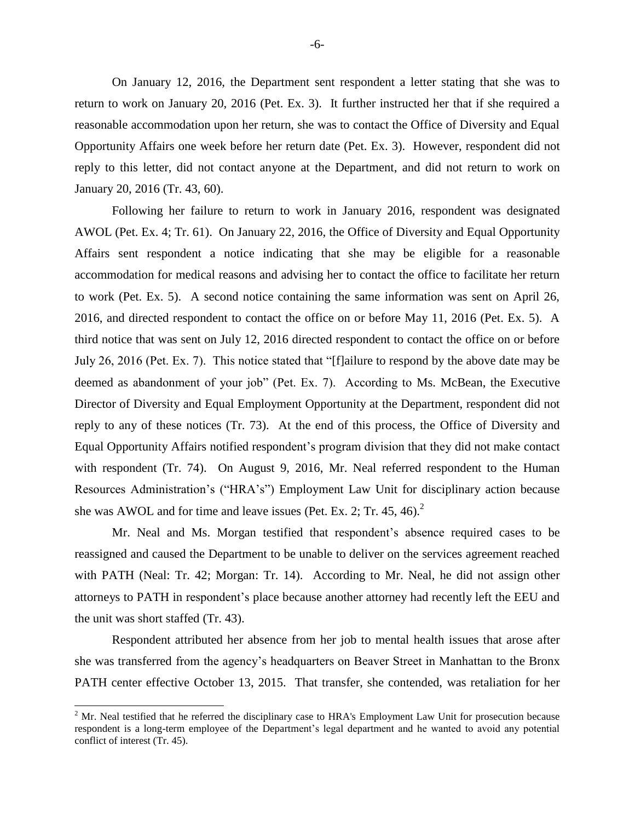On January 12, 2016, the Department sent respondent a letter stating that she was to return to work on January 20, 2016 (Pet. Ex. 3). It further instructed her that if she required a reasonable accommodation upon her return, she was to contact the Office of Diversity and Equal Opportunity Affairs one week before her return date (Pet. Ex. 3). However, respondent did not reply to this letter, did not contact anyone at the Department, and did not return to work on January 20, 2016 (Tr. 43, 60).

Following her failure to return to work in January 2016, respondent was designated AWOL (Pet. Ex. 4; Tr. 61). On January 22, 2016, the Office of Diversity and Equal Opportunity Affairs sent respondent a notice indicating that she may be eligible for a reasonable accommodation for medical reasons and advising her to contact the office to facilitate her return to work (Pet. Ex. 5). A second notice containing the same information was sent on April 26, 2016, and directed respondent to contact the office on or before May 11, 2016 (Pet. Ex. 5). A third notice that was sent on July 12, 2016 directed respondent to contact the office on or before July 26, 2016 (Pet. Ex. 7). This notice stated that "[f]ailure to respond by the above date may be deemed as abandonment of your job" (Pet. Ex. 7). According to Ms. McBean, the Executive Director of Diversity and Equal Employment Opportunity at the Department, respondent did not reply to any of these notices (Tr. 73). At the end of this process, the Office of Diversity and Equal Opportunity Affairs notified respondent's program division that they did not make contact with respondent (Tr. 74). On August 9, 2016, Mr. Neal referred respondent to the Human Resources Administration's ("HRA's") Employment Law Unit for disciplinary action because she was AWOL and for time and leave issues (Pet. Ex. 2; Tr. 45, 46).<sup>2</sup>

Mr. Neal and Ms. Morgan testified that respondent's absence required cases to be reassigned and caused the Department to be unable to deliver on the services agreement reached with PATH (Neal: Tr. 42; Morgan: Tr. 14). According to Mr. Neal, he did not assign other attorneys to PATH in respondent's place because another attorney had recently left the EEU and the unit was short staffed (Tr. 43).

Respondent attributed her absence from her job to mental health issues that arose after she was transferred from the agency's headquarters on Beaver Street in Manhattan to the Bronx PATH center effective October 13, 2015. That transfer, she contended, was retaliation for her

l

 $2^2$  Mr. Neal testified that he referred the disciplinary case to HRA's Employment Law Unit for prosecution because respondent is a long-term employee of the Department's legal department and he wanted to avoid any potential conflict of interest (Tr. 45).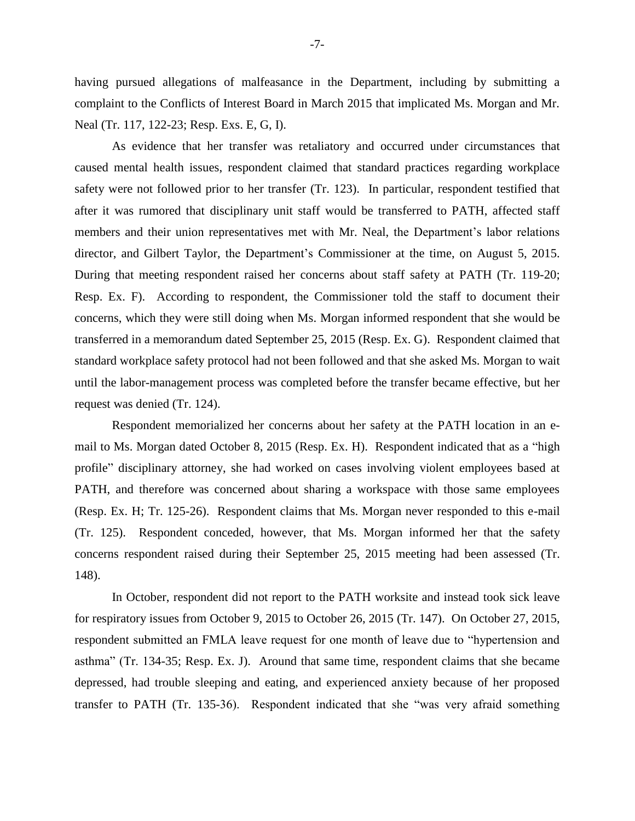having pursued allegations of malfeasance in the Department, including by submitting a complaint to the Conflicts of Interest Board in March 2015 that implicated Ms. Morgan and Mr. Neal (Tr. 117, 122-23; Resp. Exs. E, G, I).

As evidence that her transfer was retaliatory and occurred under circumstances that caused mental health issues, respondent claimed that standard practices regarding workplace safety were not followed prior to her transfer (Tr. 123). In particular, respondent testified that after it was rumored that disciplinary unit staff would be transferred to PATH, affected staff members and their union representatives met with Mr. Neal, the Department's labor relations director, and Gilbert Taylor, the Department's Commissioner at the time, on August 5, 2015. During that meeting respondent raised her concerns about staff safety at PATH (Tr. 119-20; Resp. Ex. F). According to respondent, the Commissioner told the staff to document their concerns, which they were still doing when Ms. Morgan informed respondent that she would be transferred in a memorandum dated September 25, 2015 (Resp. Ex. G). Respondent claimed that standard workplace safety protocol had not been followed and that she asked Ms. Morgan to wait until the labor-management process was completed before the transfer became effective, but her request was denied (Tr. 124).

Respondent memorialized her concerns about her safety at the PATH location in an email to Ms. Morgan dated October 8, 2015 (Resp. Ex. H). Respondent indicated that as a "high profile" disciplinary attorney, she had worked on cases involving violent employees based at PATH, and therefore was concerned about sharing a workspace with those same employees (Resp. Ex. H; Tr. 125-26). Respondent claims that Ms. Morgan never responded to this e-mail (Tr. 125). Respondent conceded, however, that Ms. Morgan informed her that the safety concerns respondent raised during their September 25, 2015 meeting had been assessed (Tr. 148).

In October, respondent did not report to the PATH worksite and instead took sick leave for respiratory issues from October 9, 2015 to October 26, 2015 (Tr. 147). On October 27, 2015, respondent submitted an FMLA leave request for one month of leave due to "hypertension and asthma" (Tr. 134-35; Resp. Ex. J). Around that same time, respondent claims that she became depressed, had trouble sleeping and eating, and experienced anxiety because of her proposed transfer to PATH (Tr. 135-36). Respondent indicated that she "was very afraid something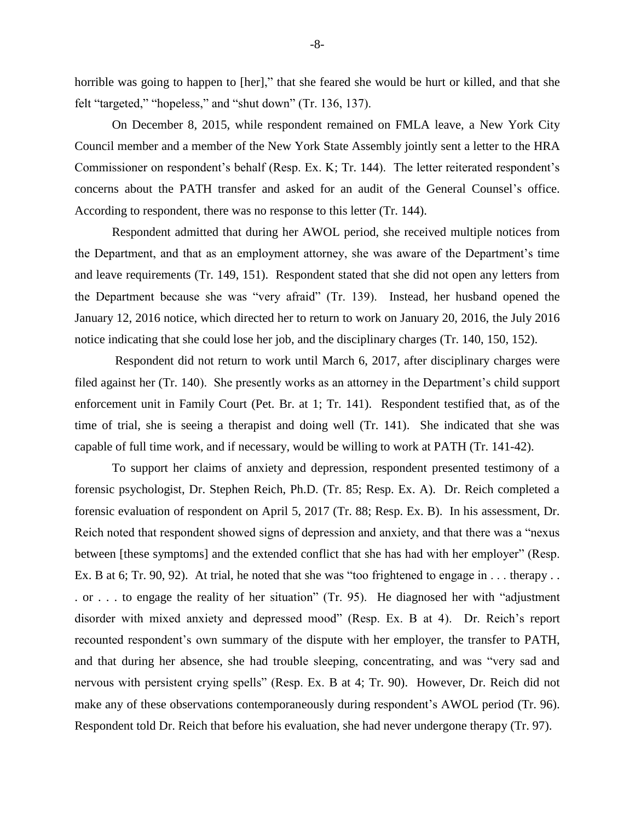horrible was going to happen to [her]," that she feared she would be hurt or killed, and that she felt "targeted," "hopeless," and "shut down" (Tr. 136, 137).

On December 8, 2015, while respondent remained on FMLA leave, a New York City Council member and a member of the New York State Assembly jointly sent a letter to the HRA Commissioner on respondent's behalf (Resp. Ex. K; Tr. 144). The letter reiterated respondent's concerns about the PATH transfer and asked for an audit of the General Counsel's office. According to respondent, there was no response to this letter (Tr. 144).

Respondent admitted that during her AWOL period, she received multiple notices from the Department, and that as an employment attorney, she was aware of the Department's time and leave requirements (Tr. 149, 151). Respondent stated that she did not open any letters from the Department because she was "very afraid" (Tr. 139). Instead, her husband opened the January 12, 2016 notice, which directed her to return to work on January 20, 2016, the July 2016 notice indicating that she could lose her job, and the disciplinary charges (Tr. 140, 150, 152).

Respondent did not return to work until March 6, 2017, after disciplinary charges were filed against her (Tr. 140). She presently works as an attorney in the Department's child support enforcement unit in Family Court (Pet. Br. at 1; Tr. 141). Respondent testified that, as of the time of trial, she is seeing a therapist and doing well (Tr. 141). She indicated that she was capable of full time work, and if necessary, would be willing to work at PATH (Tr. 141-42).

To support her claims of anxiety and depression, respondent presented testimony of a forensic psychologist, Dr. Stephen Reich, Ph.D. (Tr. 85; Resp. Ex. A). Dr. Reich completed a forensic evaluation of respondent on April 5, 2017 (Tr. 88; Resp. Ex. B). In his assessment, Dr. Reich noted that respondent showed signs of depression and anxiety, and that there was a "nexus between [these symptoms] and the extended conflict that she has had with her employer" (Resp. Ex. B at 6; Tr. 90, 92). At trial, he noted that she was "too frightened to engage in . . . therapy . . . or . . . to engage the reality of her situation" (Tr. 95). He diagnosed her with "adjustment disorder with mixed anxiety and depressed mood" (Resp. Ex. B at 4). Dr. Reich's report recounted respondent's own summary of the dispute with her employer, the transfer to PATH, and that during her absence, she had trouble sleeping, concentrating, and was "very sad and nervous with persistent crying spells" (Resp. Ex. B at 4; Tr. 90). However, Dr. Reich did not make any of these observations contemporaneously during respondent's AWOL period (Tr. 96). Respondent told Dr. Reich that before his evaluation, she had never undergone therapy (Tr. 97).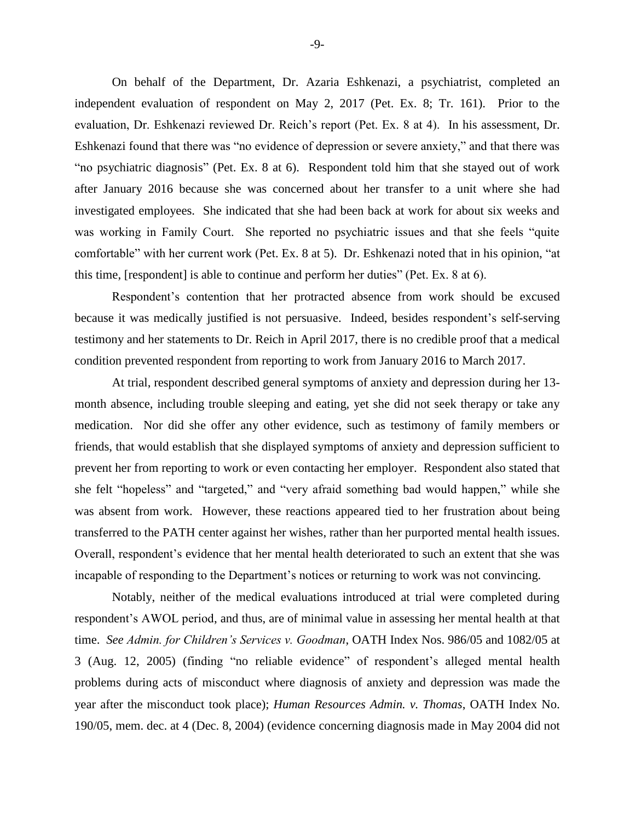On behalf of the Department, Dr. Azaria Eshkenazi, a psychiatrist, completed an independent evaluation of respondent on May 2, 2017 (Pet. Ex. 8; Tr. 161). Prior to the evaluation, Dr. Eshkenazi reviewed Dr. Reich's report (Pet. Ex. 8 at 4). In his assessment, Dr. Eshkenazi found that there was "no evidence of depression or severe anxiety," and that there was "no psychiatric diagnosis" (Pet. Ex. 8 at 6). Respondent told him that she stayed out of work after January 2016 because she was concerned about her transfer to a unit where she had investigated employees. She indicated that she had been back at work for about six weeks and was working in Family Court. She reported no psychiatric issues and that she feels "quite comfortable" with her current work (Pet. Ex. 8 at 5). Dr. Eshkenazi noted that in his opinion, "at this time, [respondent] is able to continue and perform her duties" (Pet. Ex. 8 at 6).

Respondent's contention that her protracted absence from work should be excused because it was medically justified is not persuasive. Indeed, besides respondent's self-serving testimony and her statements to Dr. Reich in April 2017, there is no credible proof that a medical condition prevented respondent from reporting to work from January 2016 to March 2017.

At trial, respondent described general symptoms of anxiety and depression during her 13 month absence, including trouble sleeping and eating, yet she did not seek therapy or take any medication. Nor did she offer any other evidence, such as testimony of family members or friends, that would establish that she displayed symptoms of anxiety and depression sufficient to prevent her from reporting to work or even contacting her employer. Respondent also stated that she felt "hopeless" and "targeted," and "very afraid something bad would happen," while she was absent from work. However, these reactions appeared tied to her frustration about being transferred to the PATH center against her wishes, rather than her purported mental health issues. Overall, respondent's evidence that her mental health deteriorated to such an extent that she was incapable of responding to the Department's notices or returning to work was not convincing.

Notably, neither of the medical evaluations introduced at trial were completed during respondent's AWOL period, and thus, are of minimal value in assessing her mental health at that time. *See Admin. for Children's Services v. Goodman*, OATH Index Nos. 986/05 and 1082/05 at 3 (Aug. 12, 2005) (finding "no reliable evidence" of respondent's alleged mental health problems during acts of misconduct where diagnosis of anxiety and depression was made the year after the misconduct took place); *Human Resources Admin. v. Thomas*, OATH Index No. 190/05, mem. dec. at 4 (Dec. 8, 2004) (evidence concerning diagnosis made in May 2004 did not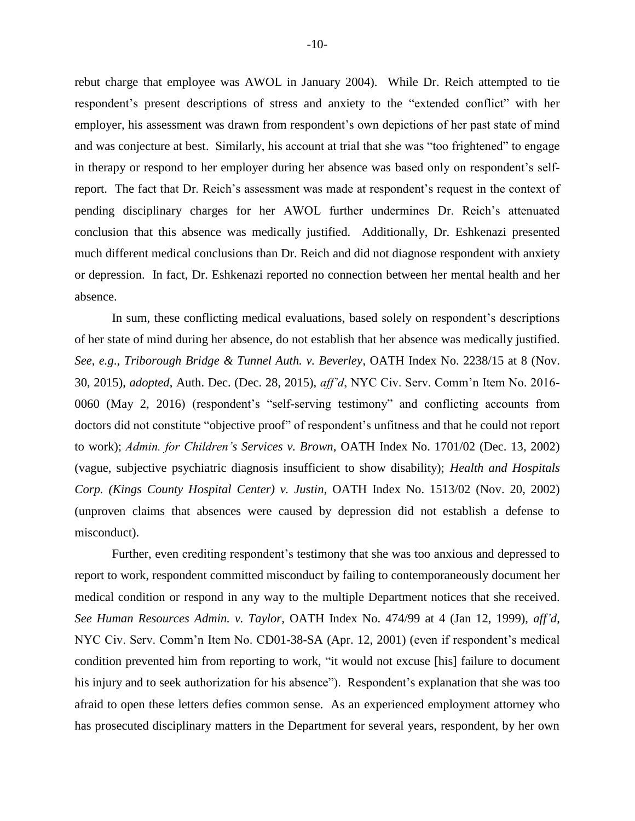rebut charge that employee was AWOL in January 2004). While Dr. Reich attempted to tie respondent's present descriptions of stress and anxiety to the "extended conflict" with her employer, his assessment was drawn from respondent's own depictions of her past state of mind and was conjecture at best. Similarly, his account at trial that she was "too frightened" to engage in therapy or respond to her employer during her absence was based only on respondent's selfreport. The fact that Dr. Reich's assessment was made at respondent's request in the context of pending disciplinary charges for her AWOL further undermines Dr. Reich's attenuated conclusion that this absence was medically justified. Additionally, Dr. Eshkenazi presented much different medical conclusions than Dr. Reich and did not diagnose respondent with anxiety or depression. In fact, Dr. Eshkenazi reported no connection between her mental health and her absence.

In sum, these conflicting medical evaluations, based solely on respondent's descriptions of her state of mind during her absence, do not establish that her absence was medically justified. *See*, *e.g*., *Triborough Bridge & Tunnel Auth. v. Beverley*, OATH Index No. 2238/15 at 8 (Nov. 30, 2015), *adopted*, Auth. Dec. (Dec. 28, 2015), *aff'd*, NYC Civ. Serv. Comm'n Item No. 2016- 0060 (May 2, 2016) (respondent's "self-serving testimony" and conflicting accounts from doctors did not constitute "objective proof" of respondent's unfitness and that he could not report to work); *Admin. for Children's Services v. Brown*, OATH Index No. 1701/02 (Dec. 13, 2002) (vague, subjective psychiatric diagnosis insufficient to show disability); *Health and Hospitals Corp. (Kings County Hospital Center) v. Justin*, OATH Index No. 1513/02 (Nov. 20, 2002) (unproven claims that absences were caused by depression did not establish a defense to misconduct).

Further, even crediting respondent's testimony that she was too anxious and depressed to report to work, respondent committed misconduct by failing to contemporaneously document her medical condition or respond in any way to the multiple Department notices that she received. *See Human Resources Admin. v. Taylor,* OATH Index No. 474/99 at 4 (Jan 12, 1999), *aff'd*, NYC Civ. Serv. Comm'n Item No. CD01-38-SA (Apr. 12, 2001) (even if respondent's medical condition prevented him from reporting to work, "it would not excuse [his] failure to document his injury and to seek authorization for his absence"). Respondent's explanation that she was too afraid to open these letters defies common sense. As an experienced employment attorney who has prosecuted disciplinary matters in the Department for several years, respondent, by her own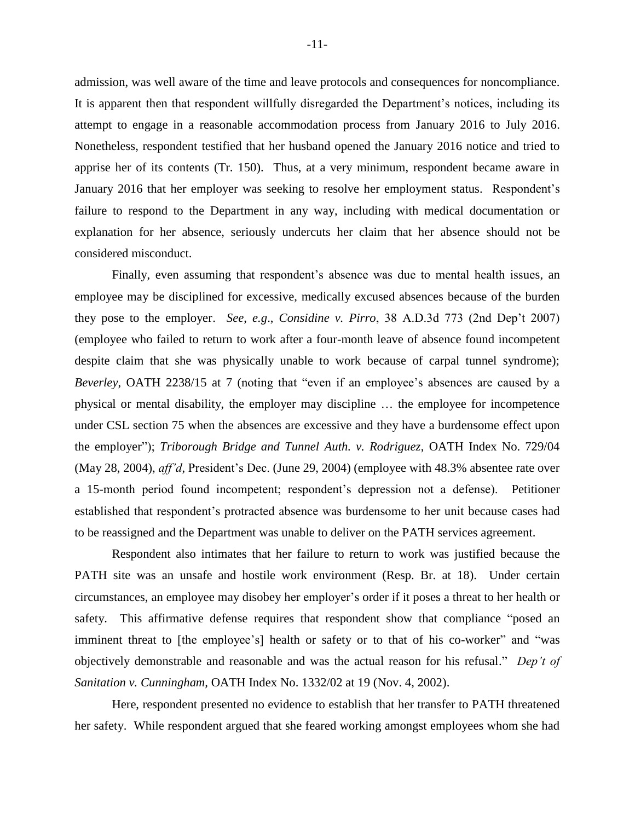admission, was well aware of the time and leave protocols and consequences for noncompliance. It is apparent then that respondent willfully disregarded the Department's notices, including its attempt to engage in a reasonable accommodation process from January 2016 to July 2016. Nonetheless, respondent testified that her husband opened the January 2016 notice and tried to apprise her of its contents (Tr. 150). Thus, at a very minimum, respondent became aware in January 2016 that her employer was seeking to resolve her employment status. Respondent's failure to respond to the Department in any way, including with medical documentation or explanation for her absence, seriously undercuts her claim that her absence should not be considered misconduct.

Finally, even assuming that respondent's absence was due to mental health issues, an employee may be disciplined for excessive, medically excused absences because of the burden they pose to the employer. *See*, *e.g*., *Considine v. Pirro*, 38 A.D.3d 773 (2nd Dep't 2007) (employee who failed to return to work after a four-month leave of absence found incompetent despite claim that she was physically unable to work because of carpal tunnel syndrome); *Beverley*, OATH 2238/15 at 7 (noting that "even if an employee's absences are caused by a physical or mental disability, the employer may discipline … the employee for incompetence under CSL section 75 when the absences are excessive and they have a burdensome effect upon the employer"); *Triborough Bridge and Tunnel Auth. v. Rodriguez*, OATH Index No. 729/04 (May 28, 2004), *aff'd*, President's Dec. (June 29, 2004) (employee with 48.3% absentee rate over a 15-month period found incompetent; respondent's depression not a defense). Petitioner established that respondent's protracted absence was burdensome to her unit because cases had to be reassigned and the Department was unable to deliver on the PATH services agreement.

Respondent also intimates that her failure to return to work was justified because the PATH site was an unsafe and hostile work environment (Resp. Br. at 18). Under certain circumstances, an employee may disobey her employer's order if it poses a threat to her health or safety. This affirmative defense requires that respondent show that compliance "posed an imminent threat to [the employee's] health or safety or to that of his co-worker" and "was objectively demonstrable and reasonable and was the actual reason for his refusal." *Dep't of Sanitation v. Cunningham,* OATH Index No. 1332/02 at 19 (Nov. 4, 2002).

Here, respondent presented no evidence to establish that her transfer to PATH threatened her safety. While respondent argued that she feared working amongst employees whom she had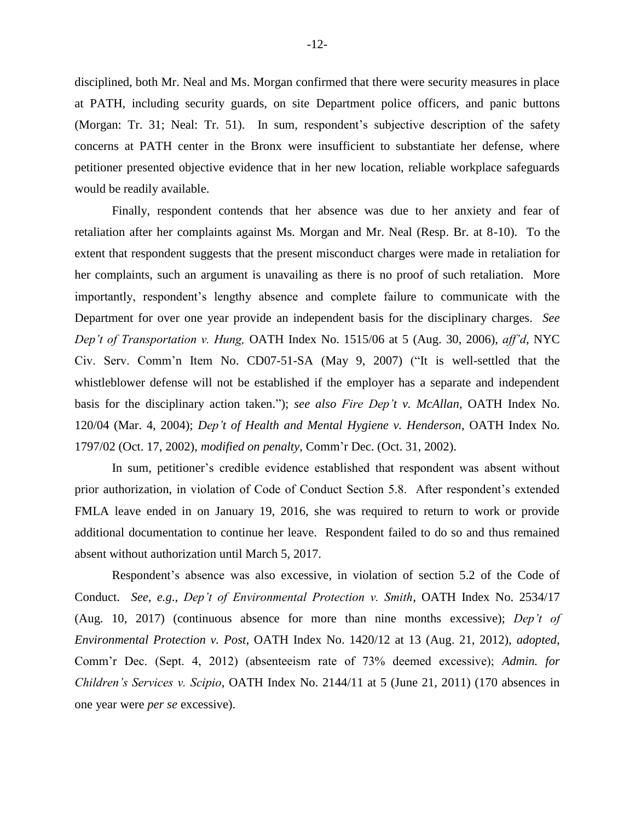disciplined, both Mr. Neal and Ms. Morgan confirmed that there were security measures in place at PATH, including security guards, on site Department police officers, and panic buttons (Morgan: Tr. 31; Neal: Tr. 51). In sum, respondent's subjective description of the safety concerns at PATH center in the Bronx were insufficient to substantiate her defense, where petitioner presented objective evidence that in her new location, reliable workplace safeguards would be readily available.

Finally, respondent contends that her absence was due to her anxiety and fear of retaliation after her complaints against Ms. Morgan and Mr. Neal (Resp. Br. at 8-10). To the extent that respondent suggests that the present misconduct charges were made in retaliation for her complaints, such an argument is unavailing as there is no proof of such retaliation. More importantly, respondent's lengthy absence and complete failure to communicate with the Department for over one year provide an independent basis for the disciplinary charges. *See Dep't of Transportation v. Hung,* OATH Index No. 1515/06 at 5 (Aug. 30, 2006), *aff'd*, NYC Civ. Serv. Comm'n Item No. CD07-51-SA (May 9, 2007) ("It is well-settled that the whistleblower defense will not be established if the employer has a separate and independent basis for the disciplinary action taken."); *see also Fire Dep't v. McAllan*, OATH Index No. 120/04 (Mar. 4, 2004); *Dep't of Health and Mental Hygiene v. Henderson*, OATH Index No. 1797/02 (Oct. 17, 2002), *modified on penalty*, Comm'r Dec. (Oct. 31, 2002).

In sum, petitioner's credible evidence established that respondent was absent without prior authorization, in violation of Code of Conduct Section 5.8. After respondent's extended FMLA leave ended in on January 19, 2016, she was required to return to work or provide additional documentation to continue her leave. Respondent failed to do so and thus remained absent without authorization until March 5, 2017.

Respondent's absence was also excessive, in violation of section 5.2 of the Code of Conduct. *See*, *e.g*., *Dep't of Environmental Protection v. Smith*, OATH Index No. 2534/17 (Aug. 10, 2017) (continuous absence for more than nine months excessive); *Dep't of Environmental Protection v. Post*, OATH Index No. 1420/12 at 13 (Aug. 21, 2012), *adopted*, Comm'r Dec. (Sept. 4, 2012) (absenteeism rate of 73% deemed excessive); *Admin. for Children's Services v. Scipio*, OATH Index No. 2144/11 at 5 (June 21, 2011) (170 absences in one year were *per se* excessive).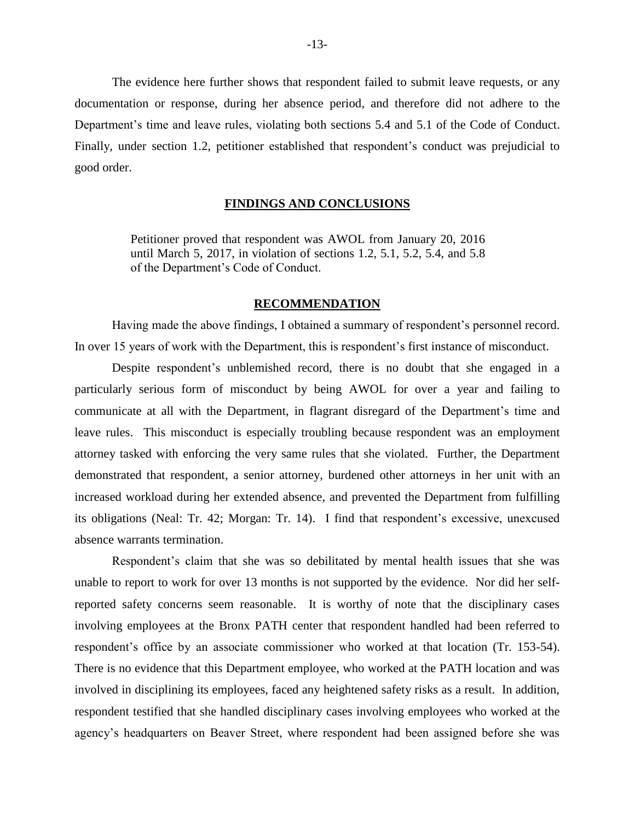The evidence here further shows that respondent failed to submit leave requests, or any documentation or response, during her absence period, and therefore did not adhere to the Department's time and leave rules, violating both sections 5.4 and 5.1 of the Code of Conduct. Finally, under section 1.2, petitioner established that respondent's conduct was prejudicial to good order.

#### **FINDINGS AND CONCLUSIONS**

Petitioner proved that respondent was AWOL from January 20, 2016 until March 5, 2017, in violation of sections 1.2, 5.1, 5.2, 5.4, and 5.8 of the Department's Code of Conduct.

#### **RECOMMENDATION**

Having made the above findings, I obtained a summary of respondent's personnel record. In over 15 years of work with the Department, this is respondent's first instance of misconduct.

Despite respondent's unblemished record, there is no doubt that she engaged in a particularly serious form of misconduct by being AWOL for over a year and failing to communicate at all with the Department, in flagrant disregard of the Department's time and leave rules. This misconduct is especially troubling because respondent was an employment attorney tasked with enforcing the very same rules that she violated. Further, the Department demonstrated that respondent, a senior attorney, burdened other attorneys in her unit with an increased workload during her extended absence, and prevented the Department from fulfilling its obligations (Neal: Tr. 42; Morgan: Tr. 14). I find that respondent's excessive, unexcused absence warrants termination.

Respondent's claim that she was so debilitated by mental health issues that she was unable to report to work for over 13 months is not supported by the evidence. Nor did her selfreported safety concerns seem reasonable. It is worthy of note that the disciplinary cases involving employees at the Bronx PATH center that respondent handled had been referred to respondent's office by an associate commissioner who worked at that location (Tr. 153-54). There is no evidence that this Department employee, who worked at the PATH location and was involved in disciplining its employees, faced any heightened safety risks as a result. In addition, respondent testified that she handled disciplinary cases involving employees who worked at the agency's headquarters on Beaver Street, where respondent had been assigned before she was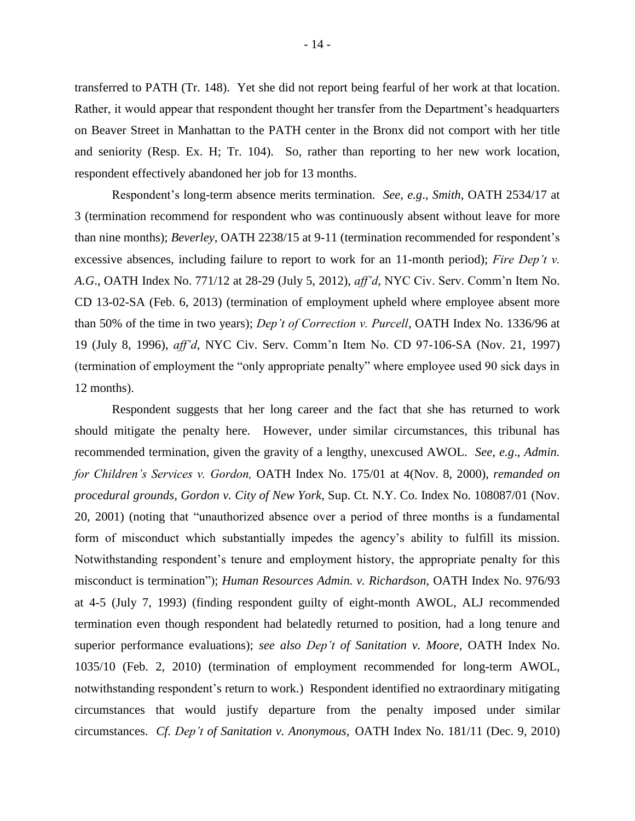transferred to PATH (Tr. 148). Yet she did not report being fearful of her work at that location. Rather, it would appear that respondent thought her transfer from the Department's headquarters on Beaver Street in Manhattan to the PATH center in the Bronx did not comport with her title and seniority (Resp. Ex. H; Tr. 104). So, rather than reporting to her new work location, respondent effectively abandoned her job for 13 months.

Respondent's long-term absence merits termination. *See*, *e.g*., *Smith*, OATH 2534/17 at 3 (termination recommend for respondent who was continuously absent without leave for more than nine months); *Beverley*, OATH 2238/15 at 9-11 (termination recommended for respondent's excessive absences, including failure to report to work for an 11-month period); *Fire Dep't v. A.G*., OATH Index No. 771/12 at 28-29 (July 5, 2012), *aff'd*, NYC Civ. Serv. Comm'n Item No. CD 13-02-SA (Feb. 6, 2013) (termination of employment upheld where employee absent more than 50% of the time in two years); *Dep't of Correction v. Purcell*, OATH Index No. 1336/96 at 19 (July 8, 1996), *aff'd*, NYC Civ. Serv. Comm'n Item No. CD 97-106-SA (Nov. 21, 1997) (termination of employment the "only appropriate penalty" where employee used 90 sick days in 12 months).

Respondent suggests that her long career and the fact that she has returned to work should mitigate the penalty here. However, under similar circumstances, this tribunal has recommended termination, given the gravity of a lengthy, unexcused AWOL. *See*, *e.g*., *Admin. for Children's Services v. Gordon,* OATH Index No. 175/01 at 4(Nov. 8, 2000), *remanded on procedural grounds*, *Gordon v. City of New York*, Sup. Ct. N.Y. Co. Index No. 108087/01 (Nov. 20, 2001) (noting that "unauthorized absence over a period of three months is a fundamental form of misconduct which substantially impedes the agency's ability to fulfill its mission. Notwithstanding respondent's tenure and employment history, the appropriate penalty for this misconduct is termination"); *Human Resources Admin. v. Richardson,* OATH Index No. 976/93 at 4-5 (July 7, 1993) (finding respondent guilty of eight-month AWOL, ALJ recommended termination even though respondent had belatedly returned to position, had a long tenure and superior performance evaluations); *see also Dep't of Sanitation v. Moore,* OATH Index No. 1035/10 (Feb. 2, 2010) (termination of employment recommended for long-term AWOL, notwithstanding respondent's return to work.) Respondent identified no extraordinary mitigating circumstances that would justify departure from the penalty imposed under similar circumstances. *Cf. Dep't of Sanitation v. Anonymous,* OATH Index No. 181/11 (Dec. 9, 2010)